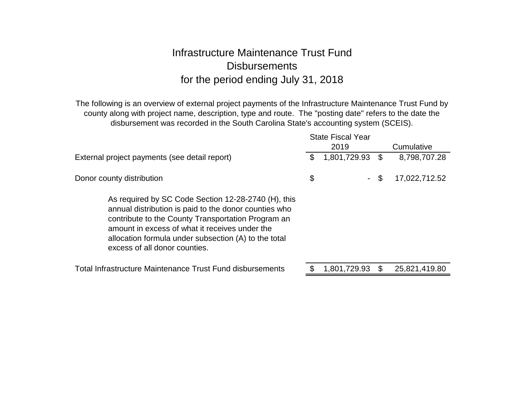# Infrastructure Maintenance Trust Fund**Disbursements** for the period ending July 31, 2018

The following is an overview of external project payments of the Infrastructure Maintenance Trust Fund by county along with project name, description, type and route. The "posting date" refers to the date the disbursement was recorded in the South Carolina State's accounting system (SCEIS).

|                                                                                                                                                                                                                                                                                                               | <b>State Fiscal Year</b> |                     |
|---------------------------------------------------------------------------------------------------------------------------------------------------------------------------------------------------------------------------------------------------------------------------------------------------------------|--------------------------|---------------------|
|                                                                                                                                                                                                                                                                                                               | 2019                     | Cumulative          |
| External project payments (see detail report)                                                                                                                                                                                                                                                                 | \$<br>1,801,729.93       | \$<br>8,798,707.28  |
| Donor county distribution                                                                                                                                                                                                                                                                                     | \$<br>$\sim$             | \$<br>17,022,712.52 |
| As required by SC Code Section 12-28-2740 (H), this<br>annual distribution is paid to the donor counties who<br>contribute to the County Transportation Program an<br>amount in excess of what it receives under the<br>allocation formula under subsection (A) to the total<br>excess of all donor counties. |                          |                     |
| <b>Total Infrastructure Maintenance Trust Fund disbursements</b>                                                                                                                                                                                                                                              | 1,801,729.93             | \$<br>25,821,419.80 |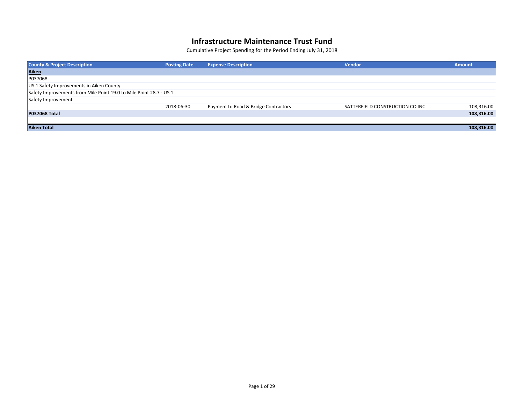| <b>County &amp; Project Description</b>                            | <b>Posting Date</b> | <b>Expense Description</b>           | <b>Vendor</b>                   | <b>Amount</b> |
|--------------------------------------------------------------------|---------------------|--------------------------------------|---------------------------------|---------------|
| <b>Aiken</b>                                                       |                     |                                      |                                 |               |
| P037068                                                            |                     |                                      |                                 |               |
| US 1 Safety Improvements in Aiken County                           |                     |                                      |                                 |               |
| Safety Improvements from Mile Point 19.0 to Mile Point 28.7 - US 1 |                     |                                      |                                 |               |
| Safety Improvement                                                 |                     |                                      |                                 |               |
|                                                                    | 2018-06-30          | Payment to Road & Bridge Contractors | SATTERFIELD CONSTRUCTION CO INC | 108,316.00    |
| <b>P037068 Total</b>                                               |                     |                                      |                                 | 108,316.00    |
|                                                                    |                     |                                      |                                 |               |
| <b>Aiken Total</b>                                                 |                     |                                      |                                 | 108,316.00    |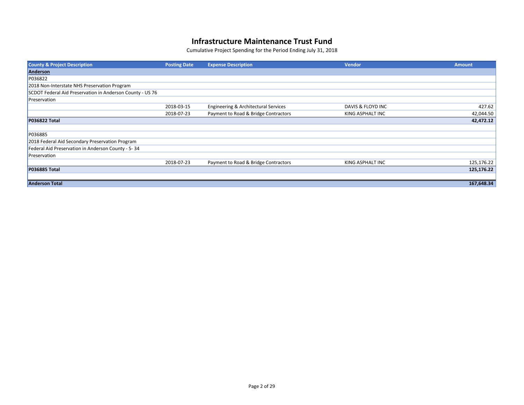| <b>County &amp; Project Description</b>                   | <b>Posting Date</b> | <b>Expense Description</b>           | <b>Vendor</b>     | <b>Amount</b> |
|-----------------------------------------------------------|---------------------|--------------------------------------|-------------------|---------------|
| Anderson                                                  |                     |                                      |                   |               |
| P036822                                                   |                     |                                      |                   |               |
| 2018 Non-Interstate NHS Preservation Program              |                     |                                      |                   |               |
| SCDOT Federal Aid Preservation in Anderson County - US 76 |                     |                                      |                   |               |
| Preservation                                              |                     |                                      |                   |               |
|                                                           | 2018-03-15          | Engineering & Architectural Services | DAVIS & FLOYD INC | 427.62        |
|                                                           | 2018-07-23          | Payment to Road & Bridge Contractors | KING ASPHALT INC  | 42,044.50     |
| <b>P036822 Total</b>                                      |                     |                                      |                   | 42,472.12     |
|                                                           |                     |                                      |                   |               |
| P036885                                                   |                     |                                      |                   |               |
| 2018 Federal Aid Secondary Preservation Program           |                     |                                      |                   |               |
| Federal Aid Preservation in Anderson County - S-34        |                     |                                      |                   |               |
| Preservation                                              |                     |                                      |                   |               |
|                                                           | 2018-07-23          | Payment to Road & Bridge Contractors | KING ASPHALT INC  | 125,176.22    |
| <b>P036885 Total</b>                                      |                     |                                      |                   | 125,176.22    |
|                                                           |                     |                                      |                   |               |
| <b>Anderson Total</b>                                     |                     |                                      |                   | 167,648.34    |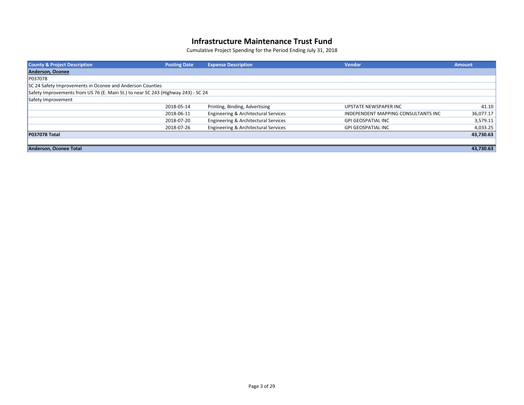| <b>County &amp; Project Description</b>                                           | <b>Posting Date</b> | <b>Expense Description</b>           | <b>Vendor</b>                       | <b>Amount</b> |
|-----------------------------------------------------------------------------------|---------------------|--------------------------------------|-------------------------------------|---------------|
| Anderson, Oconee                                                                  |                     |                                      |                                     |               |
| P037078                                                                           |                     |                                      |                                     |               |
| SC 24 Safety Improvements in Oconee and Anderson Counties                         |                     |                                      |                                     |               |
| Safety Improvements from US 76 (E. Main St.) to near SC 243 (Highway 243) - SC 24 |                     |                                      |                                     |               |
| Safety Improvement                                                                |                     |                                      |                                     |               |
|                                                                                   | 2018-05-14          | Printing, Binding, Advertising       | UPSTATE NEWSPAPER INC               | 41.10         |
|                                                                                   | 2018-06-11          | Engineering & Architectural Services | INDEPENDENT MAPPING CONSULTANTS INC | 36,077.17     |
|                                                                                   | 2018-07-20          | Engineering & Architectural Services | <b>GPI GEOSPATIAL INC</b>           | 3,579.11      |
|                                                                                   | 2018-07-26          | Engineering & Architectural Services | <b>GPI GEOSPATIAL INC</b>           | 4,033.25      |
| <b>P037078 Total</b>                                                              |                     |                                      |                                     | 43,730.63     |
|                                                                                   |                     |                                      |                                     |               |
| Anderson, Oconee Total                                                            |                     |                                      |                                     | 43,730.63     |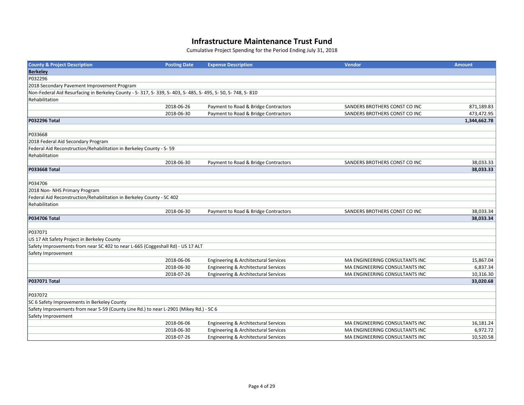| <b>County &amp; Project Description</b>                                                                        | <b>Posting Date</b> | <b>Expense Description</b>           | <b>Vendor</b>                         | <b>Amount</b> |
|----------------------------------------------------------------------------------------------------------------|---------------------|--------------------------------------|---------------------------------------|---------------|
| <b>Berkeley</b>                                                                                                |                     |                                      |                                       |               |
| P032296                                                                                                        |                     |                                      |                                       |               |
| 2018 Secondary Pavement Improvement Program                                                                    |                     |                                      |                                       |               |
| Non-Federal Aid Resurfacing in Berkeley County - S- 317, S- 339, S- 403, S- 485, S- 495, S- 50, S- 748, S- 810 |                     |                                      |                                       |               |
| Rehabilitation                                                                                                 |                     |                                      |                                       |               |
|                                                                                                                | 2018-06-26          | Payment to Road & Bridge Contractors | SANDERS BROTHERS CONST CO INC         | 871,189.83    |
|                                                                                                                | 2018-06-30          | Payment to Road & Bridge Contractors | SANDERS BROTHERS CONST CO INC         | 473,472.95    |
| <b>P032296 Total</b>                                                                                           |                     |                                      |                                       | 1,344,662.78  |
|                                                                                                                |                     |                                      |                                       |               |
| P033668                                                                                                        |                     |                                      |                                       |               |
| 2018 Federal Aid Secondary Program                                                                             |                     |                                      |                                       |               |
| Federal Aid Reconstruction/Rehabilitation in Berkeley County - S-59                                            |                     |                                      |                                       |               |
| Rehabilitation                                                                                                 |                     |                                      |                                       |               |
|                                                                                                                | 2018-06-30          | Payment to Road & Bridge Contractors | SANDERS BROTHERS CONST CO INC         | 38,033.33     |
| <b>P033668 Total</b>                                                                                           |                     |                                      |                                       | 38,033.33     |
|                                                                                                                |                     |                                      |                                       |               |
| P034706                                                                                                        |                     |                                      |                                       |               |
| 2018 Non- NHS Primary Program                                                                                  |                     |                                      |                                       |               |
| Federal Aid Reconstruction/Rehabilitation in Berkeley County - SC 402                                          |                     |                                      |                                       |               |
| Rehabilitation                                                                                                 |                     |                                      |                                       |               |
|                                                                                                                | 2018-06-30          | Payment to Road & Bridge Contractors | SANDERS BROTHERS CONST CO INC         | 38,033.34     |
| <b>P034706 Total</b>                                                                                           |                     |                                      |                                       | 38,033.34     |
|                                                                                                                |                     |                                      |                                       |               |
| P037071                                                                                                        |                     |                                      |                                       |               |
| US 17 Alt Safety Project in Berkeley County                                                                    |                     |                                      |                                       |               |
| Safety Improvements from near SC 402 to near L-665 (Coggeshall Rd) - US 17 ALT                                 |                     |                                      |                                       |               |
| Safety Improvement                                                                                             |                     |                                      |                                       |               |
|                                                                                                                | 2018-06-06          | Engineering & Architectural Services | <b>MA ENGINEERING CONSULTANTS INC</b> | 15,867.04     |
|                                                                                                                | 2018-06-30          | Engineering & Architectural Services | MA ENGINEERING CONSULTANTS INC        | 6,837.34      |
|                                                                                                                | 2018-07-26          | Engineering & Architectural Services | MA ENGINEERING CONSULTANTS INC        | 10,316.30     |
| <b>P037071 Total</b>                                                                                           |                     |                                      |                                       | 33,020.68     |
|                                                                                                                |                     |                                      |                                       |               |
| P037072                                                                                                        |                     |                                      |                                       |               |
| SC 6 Safety Improvements in Berkeley County                                                                    |                     |                                      |                                       |               |
| Safety Improvements from near S-59 (County Line Rd.) to near L-2901 (Mikey Rd.) - SC 6                         |                     |                                      |                                       |               |
| Safety Improvement                                                                                             |                     |                                      |                                       |               |
|                                                                                                                | 2018-06-06          | Engineering & Architectural Services | MA ENGINEERING CONSULTANTS INC        | 16,181.24     |
|                                                                                                                | 2018-06-30          | Engineering & Architectural Services | <b>MA ENGINEERING CONSULTANTS INC</b> | 6,972.72      |
|                                                                                                                | 2018-07-26          | Engineering & Architectural Services | MA ENGINEERING CONSULTANTS INC        | 10,520.58     |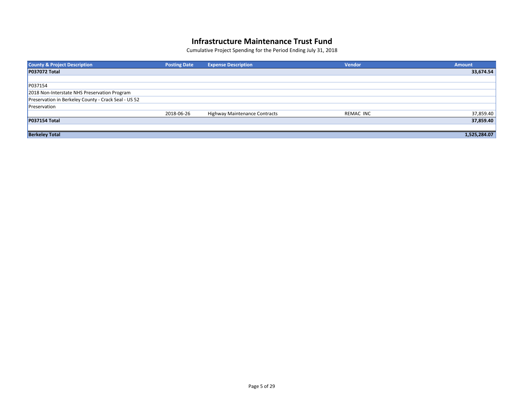| <b>County &amp; Project Description</b>              | <b>Posting Date</b> | <b>Expense Description</b>    | <b>Vendor</b> | <b>Amount</b> |
|------------------------------------------------------|---------------------|-------------------------------|---------------|---------------|
| <b>P037072 Total</b>                                 |                     |                               |               | 33,674.54     |
|                                                      |                     |                               |               |               |
| P037154                                              |                     |                               |               |               |
| 2018 Non-Interstate NHS Preservation Program         |                     |                               |               |               |
| Preservation in Berkeley County - Crack Seal - US 52 |                     |                               |               |               |
| Preservation                                         |                     |                               |               |               |
|                                                      | 2018-06-26          | Highway Maintenance Contracts | REMAC INC     | 37,859.40     |
| <b>P037154 Total</b>                                 |                     |                               |               | 37,859.40     |
|                                                      |                     |                               |               |               |
| <b>Berkeley Total</b>                                |                     |                               |               | 1,525,284.07  |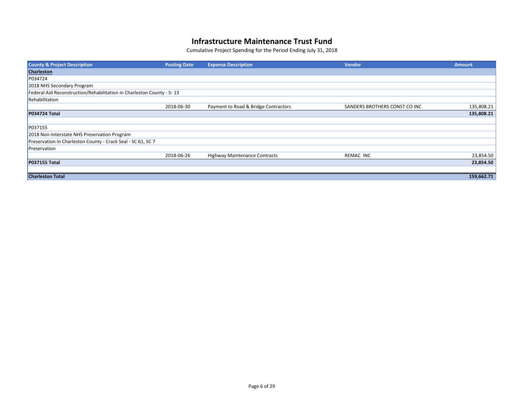| <b>County &amp; Project Description</b>                               | <b>Posting Date</b> | <b>Expense Description</b>           | <b>Vendor</b>                 | <b>Amount</b> |
|-----------------------------------------------------------------------|---------------------|--------------------------------------|-------------------------------|---------------|
| <b>Charleston</b>                                                     |                     |                                      |                               |               |
| P034724                                                               |                     |                                      |                               |               |
| 2018 NHS Secondary Program                                            |                     |                                      |                               |               |
| Federal Aid Reconstruction/Rehabilitation in Charleston County - S-13 |                     |                                      |                               |               |
| Rehabilitation                                                        |                     |                                      |                               |               |
|                                                                       | 2018-06-30          | Payment to Road & Bridge Contractors | SANDERS BROTHERS CONST CO INC | 135,808.21    |
| <b>P034724 Total</b>                                                  |                     |                                      |                               | 135,808.21    |
|                                                                       |                     |                                      |                               |               |
| P037155                                                               |                     |                                      |                               |               |
| 2018 Non-Interstate NHS Preservation Program                          |                     |                                      |                               |               |
| Preservation in Charleston County - Crack Seal - SC 61, SC 7          |                     |                                      |                               |               |
| Preservation                                                          |                     |                                      |                               |               |
|                                                                       | 2018-06-26          | <b>Highway Maintenance Contracts</b> | REMAC INC                     | 23,854.50     |
| P037155 Total                                                         |                     |                                      |                               | 23,854.50     |
|                                                                       |                     |                                      |                               |               |
| <b>Charleston Total</b>                                               |                     |                                      |                               | 159,662.71    |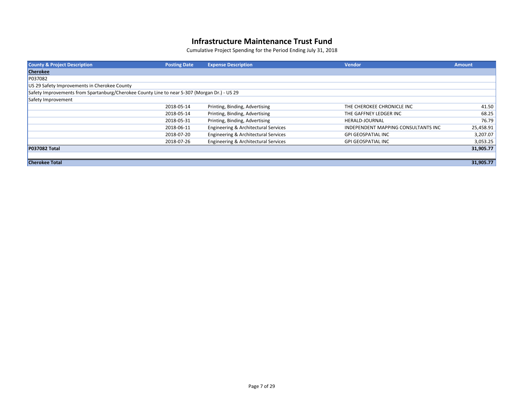| <b>County &amp; Project Description</b>                                                      | <b>Posting Date</b> | <b>Expense Description</b>           | <b>Vendor</b>                       | <b>Amount</b> |
|----------------------------------------------------------------------------------------------|---------------------|--------------------------------------|-------------------------------------|---------------|
| <b>Cherokee</b>                                                                              |                     |                                      |                                     |               |
| P037082                                                                                      |                     |                                      |                                     |               |
| US 29 Safety Improvements in Cherokee County                                                 |                     |                                      |                                     |               |
| Safety Improvements from Spartanburg/Cherokee County Line to near S-307 (Morgan Dr.) - US 29 |                     |                                      |                                     |               |
| Safety Improvement                                                                           |                     |                                      |                                     |               |
|                                                                                              | 2018-05-14          | Printing, Binding, Advertising       | THE CHEROKEE CHRONICLE INC          | 41.50         |
|                                                                                              | 2018-05-14          | Printing, Binding, Advertising       | THE GAFFNEY LEDGER INC              | 68.25         |
|                                                                                              | 2018-05-31          | Printing, Binding, Advertising       | HERALD-JOURNAL                      | 76.79         |
|                                                                                              | 2018-06-11          | Engineering & Architectural Services | INDEPENDENT MAPPING CONSULTANTS INC | 25,458.91     |
|                                                                                              | 2018-07-20          | Engineering & Architectural Services | <b>GPI GEOSPATIAL INC</b>           | 3,207.07      |
|                                                                                              | 2018-07-26          | Engineering & Architectural Services | <b>GPI GEOSPATIAL INC</b>           | 3,053.25      |
| <b>P037082 Total</b>                                                                         |                     |                                      |                                     | 31,905.77     |
|                                                                                              |                     |                                      |                                     |               |
| <b>Cherokee Total</b>                                                                        |                     |                                      |                                     | 31,905.77     |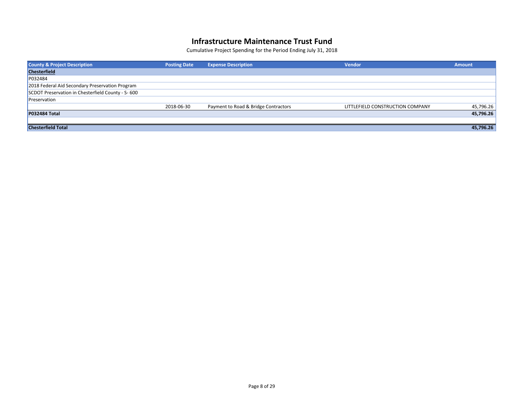| <b>County &amp; Project Description</b>           | <b>Posting Date</b> | <b>Expense Description</b>           | <b>Vendor</b>                    | <b>Amount</b> |
|---------------------------------------------------|---------------------|--------------------------------------|----------------------------------|---------------|
| <b>Chesterfield</b>                               |                     |                                      |                                  |               |
| P032484                                           |                     |                                      |                                  |               |
| 2018 Federal Aid Secondary Preservation Program   |                     |                                      |                                  |               |
| SCDOT Preservation in Chesterfield County - S-600 |                     |                                      |                                  |               |
| Preservation                                      |                     |                                      |                                  |               |
|                                                   | 2018-06-30          | Payment to Road & Bridge Contractors | LITTLEFIELD CONSTRUCTION COMPANY | 45,796.26     |
| <b>P032484 Total</b>                              |                     |                                      |                                  | 45,796.26     |
|                                                   |                     |                                      |                                  |               |
| <b>Chesterfield Total</b>                         |                     |                                      |                                  | 45,796.26     |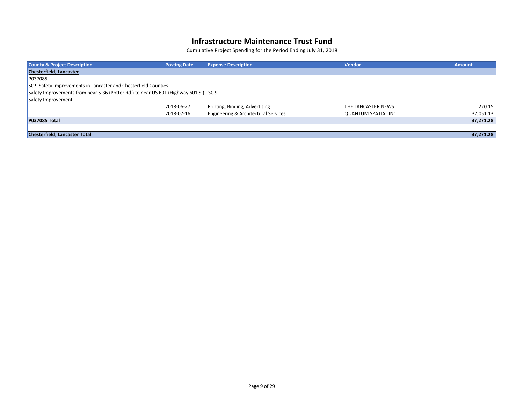| <b>County &amp; Project Description</b>                                                | <b>Posting Date</b> | <b>Expense Description</b>           | <b>Vendor</b>              | <b>Amount</b> |
|----------------------------------------------------------------------------------------|---------------------|--------------------------------------|----------------------------|---------------|
| <b>Chesterfield, Lancaster</b>                                                         |                     |                                      |                            |               |
| P037085                                                                                |                     |                                      |                            |               |
| SC 9 Safety Improvements in Lancaster and Chesterfield Counties                        |                     |                                      |                            |               |
| Safety Improvements from near S-36 (Potter Rd.) to near US 601 (Highway 601 S.) - SC 9 |                     |                                      |                            |               |
| Safety Improvement                                                                     |                     |                                      |                            |               |
|                                                                                        | 2018-06-27          | Printing, Binding, Advertising       | THE LANCASTER NEWS         | 220.15        |
|                                                                                        | 2018-07-16          | Engineering & Architectural Services | <b>QUANTUM SPATIAL INC</b> | 37,051.13     |
| <b>P037085 Total</b>                                                                   |                     |                                      |                            | 37,271.28     |
|                                                                                        |                     |                                      |                            |               |
| <b>Chesterfield, Lancaster Total</b>                                                   |                     |                                      |                            | 37,271.28     |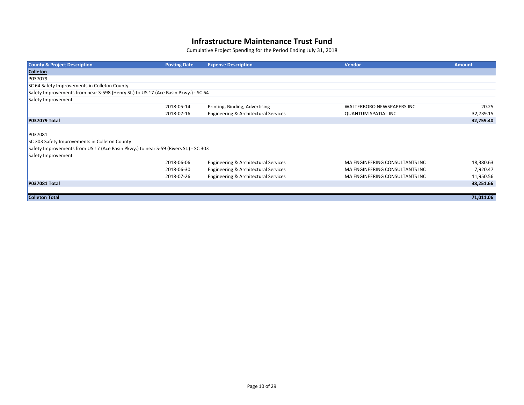| <b>County &amp; Project Description</b>                                             | <b>Posting Date</b> | <b>Expense Description</b>           | <b>Vendor</b>                    | <b>Amount</b> |
|-------------------------------------------------------------------------------------|---------------------|--------------------------------------|----------------------------------|---------------|
| <b>Colleton</b>                                                                     |                     |                                      |                                  |               |
| P037079                                                                             |                     |                                      |                                  |               |
| SC 64 Safety Improvements in Colleton County                                        |                     |                                      |                                  |               |
| Safety Improvements from near S-598 (Henry St.) to US 17 (Ace Basin Pkwy.) - SC 64  |                     |                                      |                                  |               |
| Safety Improvement                                                                  |                     |                                      |                                  |               |
|                                                                                     | 2018-05-14          | Printing, Binding, Advertising       | <b>WALTERBORO NEWSPAPERS INC</b> | 20.25         |
|                                                                                     | 2018-07-16          | Engineering & Architectural Services | <b>QUANTUM SPATIAL INC</b>       | 32,739.15     |
| <b>P037079 Total</b>                                                                |                     |                                      |                                  | 32,759.40     |
|                                                                                     |                     |                                      |                                  |               |
| P037081                                                                             |                     |                                      |                                  |               |
| SC 303 Safety Improvements in Colleton County                                       |                     |                                      |                                  |               |
| Safety Improvements from US 17 (Ace Basin Pkwy.) to near S-59 (Rivers St.) - SC 303 |                     |                                      |                                  |               |
| Safety Improvement                                                                  |                     |                                      |                                  |               |
|                                                                                     | 2018-06-06          | Engineering & Architectural Services | MA ENGINEERING CONSULTANTS INC   | 18,380.63     |
|                                                                                     | 2018-06-30          | Engineering & Architectural Services | MA ENGINEERING CONSULTANTS INC   | 7,920.47      |
|                                                                                     | 2018-07-26          | Engineering & Architectural Services | MA ENGINEERING CONSULTANTS INC   | 11,950.56     |
| <b>P037081 Total</b>                                                                |                     |                                      |                                  | 38,251.66     |
|                                                                                     |                     |                                      |                                  |               |
| <b>Colleton Total</b>                                                               |                     |                                      |                                  | 71,011.06     |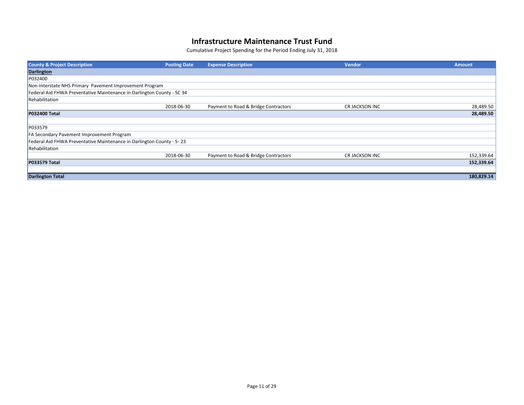| <b>County &amp; Project Description</b>                                | <b>Posting Date</b> | <b>Expense Description</b>           | <b>Vendor</b>  | <b>Amount</b> |
|------------------------------------------------------------------------|---------------------|--------------------------------------|----------------|---------------|
| <b>Darlington</b>                                                      |                     |                                      |                |               |
| P032400                                                                |                     |                                      |                |               |
| Non-Interstate NHS Primary Pavement Improvement Program                |                     |                                      |                |               |
| Federal Aid FHWA Preventative Maintenance in Darlington County - SC 34 |                     |                                      |                |               |
| Rehabilitation                                                         |                     |                                      |                |               |
|                                                                        | 2018-06-30          | Payment to Road & Bridge Contractors | CR JACKSON INC | 28,489.50     |
| <b>P032400 Total</b>                                                   |                     |                                      |                | 28,489.50     |
|                                                                        |                     |                                      |                |               |
| P033579                                                                |                     |                                      |                |               |
| <b>FA Secondary Pavement Improvement Program</b>                       |                     |                                      |                |               |
| Federal Aid FHWA Preventative Maintenance in Darlington County - S-23  |                     |                                      |                |               |
| Rehabilitation                                                         |                     |                                      |                |               |
|                                                                        | 2018-06-30          | Payment to Road & Bridge Contractors | CR JACKSON INC | 152,339.64    |
| <b>P033579 Total</b>                                                   |                     |                                      |                | 152,339.64    |
|                                                                        |                     |                                      |                |               |
| <b>Darlington Total</b>                                                |                     |                                      |                | 180,829.14    |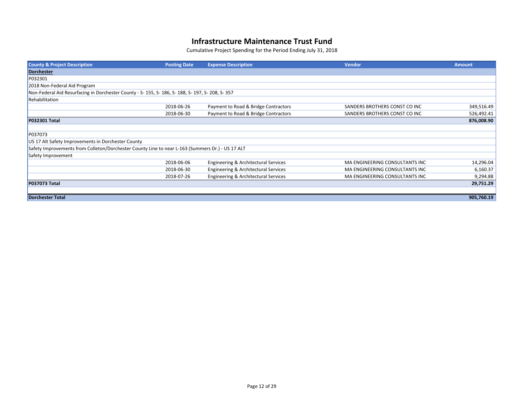| <b>County &amp; Project Description</b>                                                           | <b>Posting Date</b> | <b>Expense Description</b>           | <b>Vendor</b>                  | <b>Amount</b> |
|---------------------------------------------------------------------------------------------------|---------------------|--------------------------------------|--------------------------------|---------------|
| Dorchester                                                                                        |                     |                                      |                                |               |
| P032301                                                                                           |                     |                                      |                                |               |
| 2018 Non-Federal Aid Program                                                                      |                     |                                      |                                |               |
| Non-Federal Aid Resurfacing in Dorchester County - S- 155, S- 186, S- 188, S- 197, S- 208, S- 357 |                     |                                      |                                |               |
| Rehabilitation                                                                                    |                     |                                      |                                |               |
|                                                                                                   | 2018-06-26          | Payment to Road & Bridge Contractors | SANDERS BROTHERS CONST CO INC  | 349,516.49    |
|                                                                                                   | 2018-06-30          | Payment to Road & Bridge Contractors | SANDERS BROTHERS CONST CO INC  | 526,492.41    |
| <b>P032301 Total</b>                                                                              |                     |                                      |                                | 876,008.90    |
|                                                                                                   |                     |                                      |                                |               |
| P037073                                                                                           |                     |                                      |                                |               |
| US 17 Alt Safety Improvements in Dorchester County                                                |                     |                                      |                                |               |
| Safety Improvements from Colleton/Dorchester County Line to near L-163 (Summers Dr.) - US 17 ALT  |                     |                                      |                                |               |
| Safety Improvement                                                                                |                     |                                      |                                |               |
|                                                                                                   | 2018-06-06          | Engineering & Architectural Services | MA ENGINEERING CONSULTANTS INC | 14,296.04     |
|                                                                                                   | 2018-06-30          | Engineering & Architectural Services | MA ENGINEERING CONSULTANTS INC | 6,160.37      |
|                                                                                                   | 2018-07-26          | Engineering & Architectural Services | MA ENGINEERING CONSULTANTS INC | 9,294.88      |
| <b>P037073 Total</b>                                                                              |                     |                                      |                                | 29,751.29     |
|                                                                                                   |                     |                                      |                                |               |
| <b>Dorchester Total</b>                                                                           |                     |                                      |                                | 905,760.19    |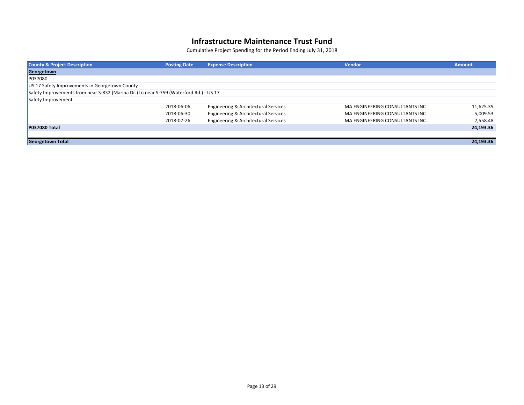| <b>County &amp; Project Description</b>                                                | <b>Posting Date</b> | <b>Expense Description</b>           | <b>Vendor</b>                  | <b>Amount</b> |
|----------------------------------------------------------------------------------------|---------------------|--------------------------------------|--------------------------------|---------------|
| Georgetown                                                                             |                     |                                      |                                |               |
| P037080                                                                                |                     |                                      |                                |               |
| US 17 Safety Improvements in Georgetown County                                         |                     |                                      |                                |               |
| Safety Improvements from near S-832 (Marina Dr.) to near S-759 (Waterford Rd.) - US 17 |                     |                                      |                                |               |
| Safety Improvement                                                                     |                     |                                      |                                |               |
|                                                                                        | 2018-06-06          | Engineering & Architectural Services | MA ENGINEERING CONSULTANTS INC | 11,625.35     |
|                                                                                        | 2018-06-30          | Engineering & Architectural Services | MA ENGINEERING CONSULTANTS INC | 5,009.53      |
|                                                                                        | 2018-07-26          | Engineering & Architectural Services | MA ENGINEERING CONSULTANTS INC | 7,558.48      |
| <b>P037080 Total</b>                                                                   |                     |                                      |                                | 24,193.36     |
|                                                                                        |                     |                                      |                                |               |
| <b>Georgetown Total</b>                                                                |                     |                                      |                                | 24,193.36     |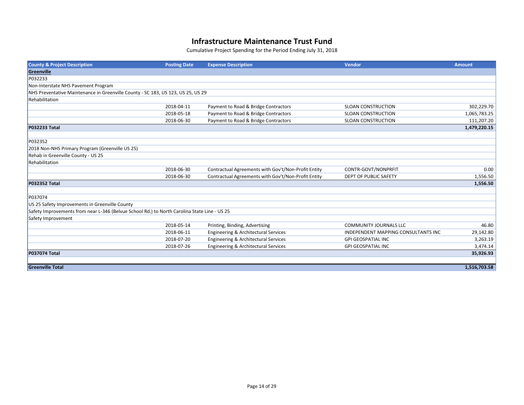| <b>County &amp; Project Description</b>                                                      | <b>Posting Date</b> | <b>Expense Description</b>                          | <b>Vendor</b>                       | <b>Amount</b> |
|----------------------------------------------------------------------------------------------|---------------------|-----------------------------------------------------|-------------------------------------|---------------|
| Greenville                                                                                   |                     |                                                     |                                     |               |
| P032233                                                                                      |                     |                                                     |                                     |               |
| Non-Interstate NHS Pavement Program                                                          |                     |                                                     |                                     |               |
| NHS Preventative Maintenance in Greenville County - SC 183, US 123, US 25, US 29             |                     |                                                     |                                     |               |
| Rehabilitation                                                                               |                     |                                                     |                                     |               |
|                                                                                              | 2018-04-11          | Payment to Road & Bridge Contractors                | <b>SLOAN CONSTRUCTION</b>           | 302,229.70    |
|                                                                                              | 2018-05-18          | Payment to Road & Bridge Contractors                | <b>SLOAN CONSTRUCTION</b>           | 1,065,783.25  |
|                                                                                              | 2018-06-30          | Payment to Road & Bridge Contractors                | <b>SLOAN CONSTRUCTION</b>           | 111,207.20    |
| <b>P032233 Total</b>                                                                         |                     |                                                     |                                     | 1,479,220.15  |
|                                                                                              |                     |                                                     |                                     |               |
| P032352                                                                                      |                     |                                                     |                                     |               |
| 2018 Non-NHS Primary Program (Greenville US 25)                                              |                     |                                                     |                                     |               |
| Rehab in Greenville County - US 25                                                           |                     |                                                     |                                     |               |
| Rehabilitation                                                                               |                     |                                                     |                                     |               |
|                                                                                              | 2018-06-30          | Contractual Agreements with Gov't/Non-Profit Entity | CONTR-GOVT/NONPRFIT                 | 0.00          |
|                                                                                              | 2018-06-30          | Contractual Agreements with Gov't/Non-Profit Entity | <b>DEPT OF PUBLIC SAFETY</b>        | 1,556.50      |
| <b>P032352 Total</b>                                                                         |                     |                                                     |                                     | 1,556.50      |
|                                                                                              |                     |                                                     |                                     |               |
| P037074                                                                                      |                     |                                                     |                                     |               |
| US 25 Safety Improvements in Greenville County                                               |                     |                                                     |                                     |               |
| Safety Improvements from near L-346 (Belvue School Rd.) to North Carolina State Line - US 25 |                     |                                                     |                                     |               |
| Safety Improvement                                                                           |                     |                                                     |                                     |               |
|                                                                                              | 2018-05-14          | Printing, Binding, Advertising                      | <b>COMMUNITY JOURNALS LLC</b>       | 46.80         |
|                                                                                              | 2018-06-11          | Engineering & Architectural Services                | INDEPENDENT MAPPING CONSULTANTS INC | 29,142.80     |
|                                                                                              | 2018-07-20          | Engineering & Architectural Services                | <b>GPI GEOSPATIAL INC</b>           | 3,263.19      |
|                                                                                              | 2018-07-26          | Engineering & Architectural Services                | <b>GPI GEOSPATIAL INC</b>           | 3,474.14      |
| <b>P037074 Total</b>                                                                         |                     |                                                     |                                     | 35,926.93     |
|                                                                                              |                     |                                                     |                                     |               |
| <b>Greenville Total</b>                                                                      |                     |                                                     |                                     | 1,516,703.58  |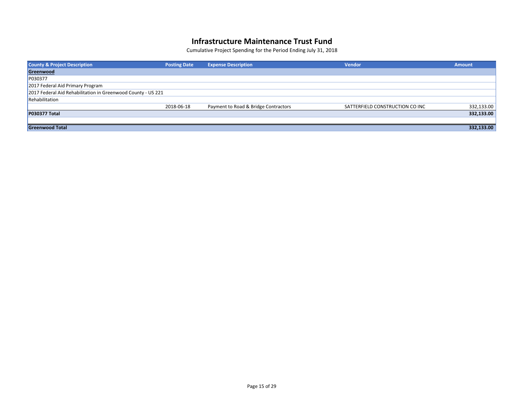| <b>County &amp; Project Description</b>                      | <b>Posting Date</b> | <b>Expense Description</b>           | <b>Vendor</b>                   | <b>Amount</b> |
|--------------------------------------------------------------|---------------------|--------------------------------------|---------------------------------|---------------|
| Greenwood                                                    |                     |                                      |                                 |               |
| P030377                                                      |                     |                                      |                                 |               |
| 2017 Federal Aid Primary Program                             |                     |                                      |                                 |               |
| 2017 Federal Aid Rehabilitation in Greenwood County - US 221 |                     |                                      |                                 |               |
| Rehabilitation                                               |                     |                                      |                                 |               |
|                                                              | 2018-06-18          | Payment to Road & Bridge Contractors | SATTERFIELD CONSTRUCTION CO INC | 332,133.00    |
| <b>P030377 Total</b>                                         |                     |                                      |                                 | 332,133.00    |
|                                                              |                     |                                      |                                 |               |
| <b>Greenwood Total</b>                                       |                     |                                      |                                 | 332,133.00    |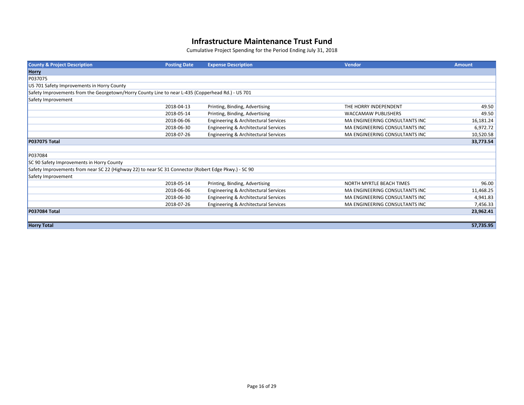| <b>County &amp; Project Description</b>                                                              | <b>Posting Date</b> | <b>Expense Description</b>           | Vendor                          | <b>Amount</b> |
|------------------------------------------------------------------------------------------------------|---------------------|--------------------------------------|---------------------------------|---------------|
| Horry                                                                                                |                     |                                      |                                 |               |
| P037075                                                                                              |                     |                                      |                                 |               |
| US 701 Safety Improvements in Horry County                                                           |                     |                                      |                                 |               |
| Safety Improvements from the Georgetown/Horry County Line to near L-435 (Copperhead Rd.) - US 701    |                     |                                      |                                 |               |
| Safety Improvement                                                                                   |                     |                                      |                                 |               |
|                                                                                                      | 2018-04-13          | Printing, Binding, Advertising       | THE HORRY INDEPENDENT           | 49.50         |
|                                                                                                      | 2018-05-14          | Printing, Binding, Advertising       | <b>WACCAMAW PUBLISHERS</b>      | 49.50         |
|                                                                                                      | 2018-06-06          | Engineering & Architectural Services | MA ENGINEERING CONSULTANTS INC  | 16,181.24     |
|                                                                                                      | 2018-06-30          | Engineering & Architectural Services | MA ENGINEERING CONSULTANTS INC  | 6,972.72      |
|                                                                                                      | 2018-07-26          | Engineering & Architectural Services | MA ENGINEERING CONSULTANTS INC  | 10,520.58     |
| <b>P037075 Total</b>                                                                                 |                     |                                      |                                 | 33,773.54     |
|                                                                                                      |                     |                                      |                                 |               |
| P037084                                                                                              |                     |                                      |                                 |               |
| SC 90 Safety Improvements in Horry County                                                            |                     |                                      |                                 |               |
| Safety Improvements from near SC 22 (Highway 22) to near SC 31 Connector (Robert Edge Pkwy.) - SC 90 |                     |                                      |                                 |               |
| Safety Improvement                                                                                   |                     |                                      |                                 |               |
|                                                                                                      | 2018-05-14          | Printing, Binding, Advertising       | <b>NORTH MYRTLE BEACH TIMES</b> | 96.00         |
|                                                                                                      | 2018-06-06          | Engineering & Architectural Services | MA ENGINEERING CONSULTANTS INC  | 11,468.25     |
|                                                                                                      | 2018-06-30          | Engineering & Architectural Services | MA ENGINEERING CONSULTANTS INC  | 4,941.83      |
|                                                                                                      | 2018-07-26          | Engineering & Architectural Services | MA ENGINEERING CONSULTANTS INC  | 7,456.33      |
| <b>P037084 Total</b>                                                                                 |                     |                                      |                                 | 23,962.41     |
|                                                                                                      |                     |                                      |                                 |               |
| <b>Horry Total</b>                                                                                   |                     |                                      |                                 | 57,735.95     |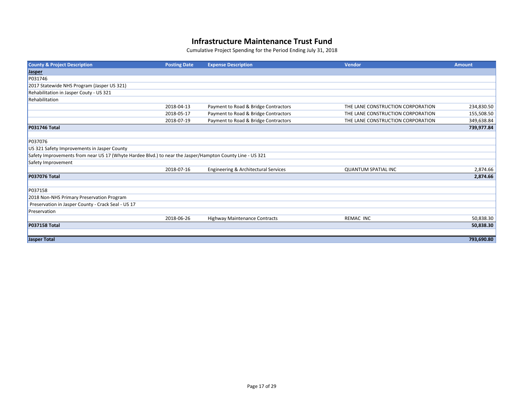| <b>County &amp; Project Description</b>                                                                  | <b>Posting Date</b> | <b>Expense Description</b>           | <b>Vendor</b>                     | <b>Amount</b> |
|----------------------------------------------------------------------------------------------------------|---------------------|--------------------------------------|-----------------------------------|---------------|
| <b>Jasper</b>                                                                                            |                     |                                      |                                   |               |
| P031746                                                                                                  |                     |                                      |                                   |               |
| 2017 Statewide NHS Program (Jasper US 321)                                                               |                     |                                      |                                   |               |
| Rehabilitation in Jasper Couty - US 321                                                                  |                     |                                      |                                   |               |
| Rehabilitation                                                                                           |                     |                                      |                                   |               |
|                                                                                                          | 2018-04-13          | Payment to Road & Bridge Contractors | THE LANE CONSTRUCTION CORPORATION | 234,830.50    |
|                                                                                                          | 2018-05-17          | Payment to Road & Bridge Contractors | THE LANE CONSTRUCTION CORPORATION | 155,508.50    |
|                                                                                                          | 2018-07-19          | Payment to Road & Bridge Contractors | THE LANE CONSTRUCTION CORPORATION | 349,638.84    |
| <b>P031746 Total</b>                                                                                     |                     |                                      |                                   | 739,977.84    |
|                                                                                                          |                     |                                      |                                   |               |
| P037076                                                                                                  |                     |                                      |                                   |               |
| US 321 Safety Improvements in Jasper County                                                              |                     |                                      |                                   |               |
| Safety Improvements from near US 17 (Whyte Hardee Blvd.) to near the Jasper/Hampton County Line - US 321 |                     |                                      |                                   |               |
| Safety Improvement                                                                                       |                     |                                      |                                   |               |
|                                                                                                          | 2018-07-16          | Engineering & Architectural Services | <b>QUANTUM SPATIAL INC</b>        | 2,874.66      |
| <b>P037076 Total</b>                                                                                     |                     |                                      |                                   | 2,874.66      |
|                                                                                                          |                     |                                      |                                   |               |
| P037158                                                                                                  |                     |                                      |                                   |               |
| 2018 Non-NHS Primary Preservation Program                                                                |                     |                                      |                                   |               |
| Preservation in Jasper County - Crack Seal - US 17                                                       |                     |                                      |                                   |               |
| Preservation                                                                                             |                     |                                      |                                   |               |
|                                                                                                          | 2018-06-26          | Highway Maintenance Contracts        | REMAC INC                         | 50,838.30     |
| <b>P037158 Total</b>                                                                                     |                     |                                      |                                   | 50,838.30     |
|                                                                                                          |                     |                                      |                                   |               |
| <b>Jasper Total</b>                                                                                      |                     |                                      |                                   | 793,690.80    |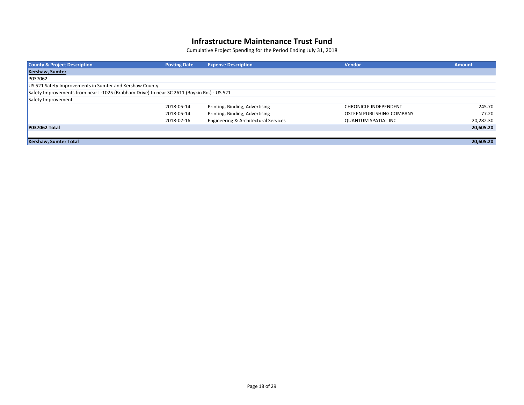| <b>County &amp; Project Description</b>                                                    | <b>Posting Date</b> | <b>Expense Description</b>           | <b>Vendor</b>                | <b>Amount</b> |
|--------------------------------------------------------------------------------------------|---------------------|--------------------------------------|------------------------------|---------------|
| Kershaw, Sumter                                                                            |                     |                                      |                              |               |
| P037062                                                                                    |                     |                                      |                              |               |
| US 521 Safety Improvements in Sumter and Kershaw County                                    |                     |                                      |                              |               |
| Safety Improvements from near L-1025 (Brabham Drive) to near SC 2611 (Boykin Rd.) - US 521 |                     |                                      |                              |               |
| Safety Improvement                                                                         |                     |                                      |                              |               |
|                                                                                            | 2018-05-14          | Printing, Binding, Advertising       | <b>CHRONICLE INDEPENDENT</b> | 245.70        |
|                                                                                            | 2018-05-14          | Printing, Binding, Advertising       | OSTEEN PUBLISHING COMPANY    | 77.20         |
|                                                                                            | 2018-07-16          | Engineering & Architectural Services | <b>QUANTUM SPATIAL INC</b>   | 20,282.30     |
| <b>P037062 Total</b>                                                                       |                     |                                      |                              | 20,605.20     |
|                                                                                            |                     |                                      |                              |               |
| <b>Kershaw, Sumter Total</b>                                                               |                     |                                      |                              | 20,605.20     |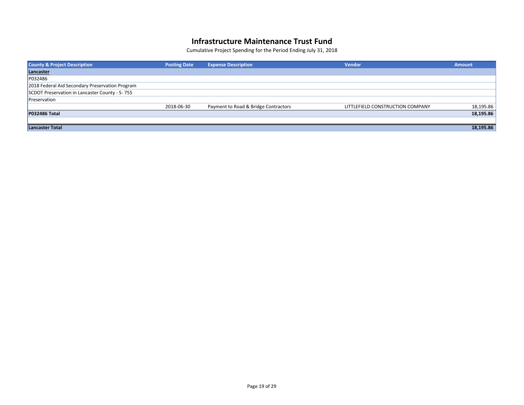| <b>County &amp; Project Description</b>         | <b>Posting Date</b> | <b>Expense Description</b>           | <b>Vendor</b>                    | <b>Amount</b> |
|-------------------------------------------------|---------------------|--------------------------------------|----------------------------------|---------------|
| Lancaster                                       |                     |                                      |                                  |               |
| P032486                                         |                     |                                      |                                  |               |
| 2018 Federal Aid Secondary Preservation Program |                     |                                      |                                  |               |
| SCDOT Preservation in Lancaster County - S-755  |                     |                                      |                                  |               |
| Preservation                                    |                     |                                      |                                  |               |
|                                                 | 2018-06-30          | Payment to Road & Bridge Contractors | LITTLEFIELD CONSTRUCTION COMPANY | 18,195.86     |
| <b>P032486 Total</b>                            |                     |                                      |                                  | 18,195.86     |
|                                                 |                     |                                      |                                  |               |
| Lancaster Total                                 |                     |                                      |                                  | 18,195.86     |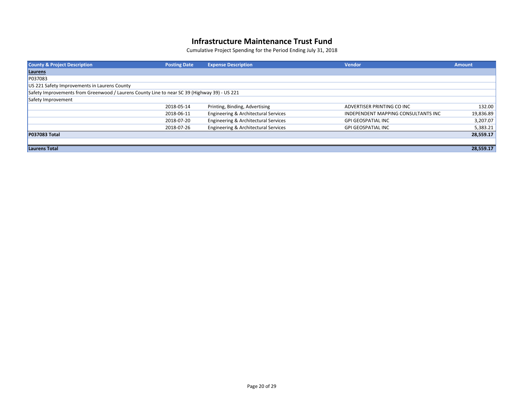| <b>County &amp; Project Description</b>                                                      | <b>Posting Date</b> | <b>Expense Description</b>           | <b>Vendor</b>                       | <b>Amount</b> |
|----------------------------------------------------------------------------------------------|---------------------|--------------------------------------|-------------------------------------|---------------|
| Laurens                                                                                      |                     |                                      |                                     |               |
| P037083                                                                                      |                     |                                      |                                     |               |
| US 221 Safety Improvements in Laurens County                                                 |                     |                                      |                                     |               |
| Safety Improvements from Greenwood / Laurens County Line to near SC 39 (Highway 39) - US 221 |                     |                                      |                                     |               |
| Safety Improvement                                                                           |                     |                                      |                                     |               |
|                                                                                              | 2018-05-14          | Printing, Binding, Advertising       | ADVERTISER PRINTING CO INC          | 132.00        |
|                                                                                              | 2018-06-11          | Engineering & Architectural Services | INDEPENDENT MAPPING CONSULTANTS INC | 19,836.89     |
|                                                                                              | 2018-07-20          | Engineering & Architectural Services | <b>GPI GEOSPATIAL INC</b>           | 3,207.07      |
|                                                                                              | 2018-07-26          | Engineering & Architectural Services | <b>GPI GEOSPATIAL INC</b>           | 5,383.21      |
| <b>P037083 Total</b>                                                                         |                     |                                      |                                     | 28,559.17     |
|                                                                                              |                     |                                      |                                     |               |
| <b>Laurens Total</b>                                                                         |                     |                                      |                                     | 28,559.17     |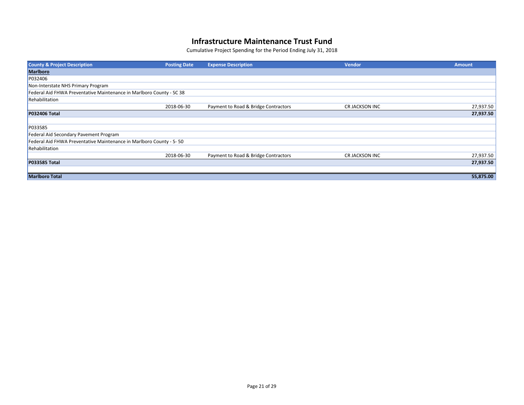| <b>County &amp; Project Description</b>                              | <b>Posting Date</b> | <b>Expense Description</b>           | <b>Vendor</b>  | <b>Amount</b> |
|----------------------------------------------------------------------|---------------------|--------------------------------------|----------------|---------------|
| <b>Marlboro</b>                                                      |                     |                                      |                |               |
| P032406                                                              |                     |                                      |                |               |
| Non-Interstate NHS Primary Program                                   |                     |                                      |                |               |
| Federal Aid FHWA Preventative Maintenance in Marlboro County - SC 38 |                     |                                      |                |               |
| Rehabilitation                                                       |                     |                                      |                |               |
|                                                                      | 2018-06-30          | Payment to Road & Bridge Contractors | CR JACKSON INC | 27,937.50     |
| <b>P032406 Total</b>                                                 |                     |                                      |                | 27,937.50     |
|                                                                      |                     |                                      |                |               |
| P033585                                                              |                     |                                      |                |               |
| Federal Aid Secondary Pavement Program                               |                     |                                      |                |               |
| Federal Aid FHWA Preventative Maintenance in Marlboro County - S-50  |                     |                                      |                |               |
| Rehabilitation                                                       |                     |                                      |                |               |
|                                                                      | 2018-06-30          | Payment to Road & Bridge Contractors | CR JACKSON INC | 27,937.50     |
| <b>P033585 Total</b>                                                 |                     |                                      |                | 27,937.50     |
|                                                                      |                     |                                      |                |               |
| <b>Marlboro Total</b>                                                |                     |                                      |                | 55,875.00     |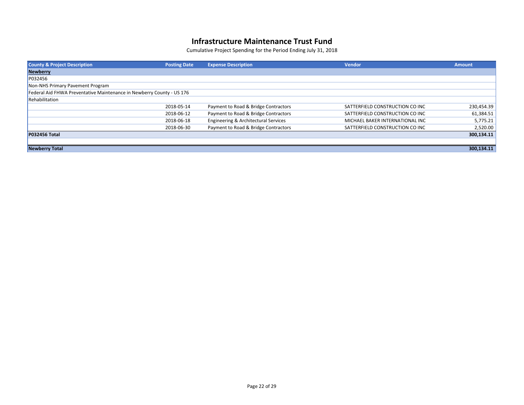| <b>County &amp; Project Description</b>                               | <b>Posting Date</b> | <b>Expense Description</b>           | <b>Vendor</b>                   | <b>Amount</b> |
|-----------------------------------------------------------------------|---------------------|--------------------------------------|---------------------------------|---------------|
| <b>Newberry</b>                                                       |                     |                                      |                                 |               |
| P032456                                                               |                     |                                      |                                 |               |
| Non-NHS Primary Pavement Program                                      |                     |                                      |                                 |               |
| Federal Aid FHWA Preventative Maintenance in Newberry County - US 176 |                     |                                      |                                 |               |
| Rehabilitation                                                        |                     |                                      |                                 |               |
|                                                                       | 2018-05-14          | Payment to Road & Bridge Contractors | SATTERFIELD CONSTRUCTION CO INC | 230,454.39    |
|                                                                       | 2018-06-12          | Payment to Road & Bridge Contractors | SATTERFIELD CONSTRUCTION CO INC | 61,384.51     |
|                                                                       | 2018-06-18          | Engineering & Architectural Services | MICHAEL BAKER INTERNATIONAL INC | 5,775.21      |
|                                                                       | 2018-06-30          | Payment to Road & Bridge Contractors | SATTERFIELD CONSTRUCTION CO INC | 2,520.00      |
| <b>P032456 Total</b>                                                  |                     |                                      |                                 | 300,134.11    |
|                                                                       |                     |                                      |                                 |               |
| <b>Newberry Total</b>                                                 |                     |                                      |                                 | 300,134.11    |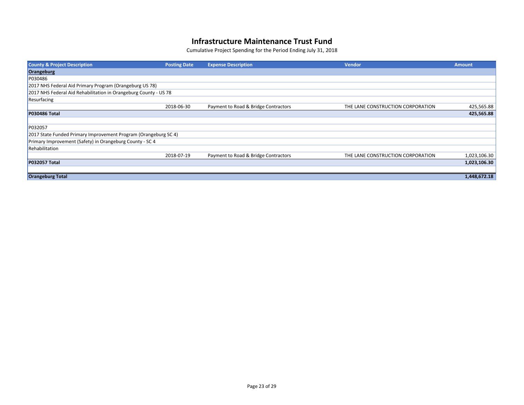| <b>County &amp; Project Description</b>                          | <b>Posting Date</b> | <b>Expense Description</b>           | <b>Vendor</b>                     | <b>Amount</b> |
|------------------------------------------------------------------|---------------------|--------------------------------------|-----------------------------------|---------------|
| Orangeburg                                                       |                     |                                      |                                   |               |
| P030486                                                          |                     |                                      |                                   |               |
| 2017 NHS Federal Aid Primary Program (Orangeburg US 78)          |                     |                                      |                                   |               |
| 2017 NHS Federal Aid Rehabilitation in Orangeburg County - US 78 |                     |                                      |                                   |               |
| Resurfacing                                                      |                     |                                      |                                   |               |
|                                                                  | 2018-06-30          | Payment to Road & Bridge Contractors | THE LANE CONSTRUCTION CORPORATION | 425,565.88    |
| <b>P030486 Total</b>                                             |                     |                                      |                                   | 425,565.88    |
|                                                                  |                     |                                      |                                   |               |
| P032057                                                          |                     |                                      |                                   |               |
| 2017 State Funded Primary Improvement Program (Orangeburg SC 4)  |                     |                                      |                                   |               |
| Primary Improvement (Safety) in Orangeburg County - SC 4         |                     |                                      |                                   |               |
| Rehabilitation                                                   |                     |                                      |                                   |               |
|                                                                  | 2018-07-19          | Payment to Road & Bridge Contractors | THE LANE CONSTRUCTION CORPORATION | 1,023,106.30  |
| <b>P032057 Total</b>                                             |                     |                                      |                                   | 1,023,106.30  |
|                                                                  |                     |                                      |                                   |               |
| <b>Orangeburg Total</b>                                          |                     |                                      |                                   | 1,448,672.18  |
|                                                                  |                     |                                      |                                   |               |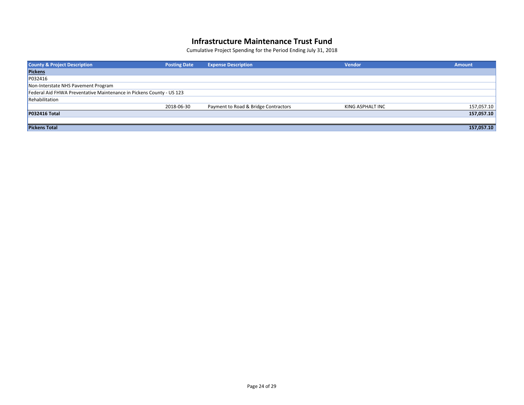| <b>County &amp; Project Description</b>                              | <b>Posting Date</b> | <b>Expense Description</b>           | <b>Vendor</b>    | <b>Amount</b> |  |
|----------------------------------------------------------------------|---------------------|--------------------------------------|------------------|---------------|--|
| <b>Pickens</b>                                                       |                     |                                      |                  |               |  |
| P032416                                                              |                     |                                      |                  |               |  |
| Non-Interstate NHS Pavement Program                                  |                     |                                      |                  |               |  |
| Federal Aid FHWA Preventative Maintenance in Pickens County - US 123 |                     |                                      |                  |               |  |
| Rehabilitation                                                       |                     |                                      |                  |               |  |
|                                                                      | 2018-06-30          | Payment to Road & Bridge Contractors | KING ASPHALT INC | 157,057.10    |  |
| <b>P032416 Total</b>                                                 |                     |                                      |                  | 157,057.10    |  |
|                                                                      |                     |                                      |                  |               |  |
| <b>Pickens Total</b>                                                 |                     |                                      |                  | 157,057.10    |  |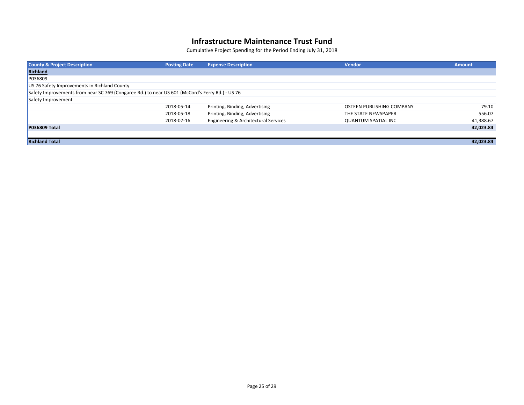| <b>County &amp; Project Description</b>                                                         | <b>Posting Date</b> | <b>Expense Description</b>           | <b>Vendor</b>              | <b>Amount</b> |
|-------------------------------------------------------------------------------------------------|---------------------|--------------------------------------|----------------------------|---------------|
| <b>Richland</b>                                                                                 |                     |                                      |                            |               |
| P036809                                                                                         |                     |                                      |                            |               |
| US 76 Safety Improvements in Richland County                                                    |                     |                                      |                            |               |
| Safety Improvements from near SC 769 (Congaree Rd.) to near US 601 (McCord's Ferry Rd.) - US 76 |                     |                                      |                            |               |
| Safety Improvement                                                                              |                     |                                      |                            |               |
|                                                                                                 | 2018-05-14          | Printing, Binding, Advertising       | OSTEEN PUBLISHING COMPANY  | 79.10         |
|                                                                                                 | 2018-05-18          | Printing, Binding, Advertising       | THE STATE NEWSPAPER        | 556.07        |
|                                                                                                 | 2018-07-16          | Engineering & Architectural Services | <b>QUANTUM SPATIAL INC</b> | 41,388.67     |
| <b>P036809 Total</b>                                                                            |                     |                                      |                            | 42,023.84     |
|                                                                                                 |                     |                                      |                            |               |
| <b>Richland Total</b>                                                                           |                     |                                      |                            | 42,023.84     |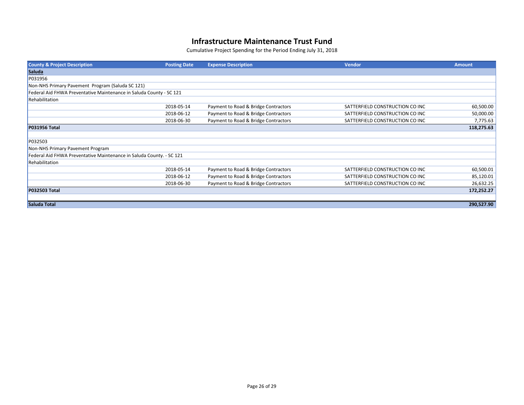| <b>County &amp; Project Description</b>                              | <b>Posting Date</b> | <b>Expense Description</b>           | Vendor                          | <b>Amount</b> |  |
|----------------------------------------------------------------------|---------------------|--------------------------------------|---------------------------------|---------------|--|
| <b>Saluda</b>                                                        |                     |                                      |                                 |               |  |
| P031956                                                              |                     |                                      |                                 |               |  |
| Non-NHS Primary Pavement Program (Saluda SC 121)                     |                     |                                      |                                 |               |  |
| Federal Aid FHWA Preventative Maintenance in Saluda County - SC 121  |                     |                                      |                                 |               |  |
| Rehabilitation                                                       |                     |                                      |                                 |               |  |
|                                                                      | 2018-05-14          | Payment to Road & Bridge Contractors | SATTERFIELD CONSTRUCTION CO INC | 60,500.00     |  |
|                                                                      | 2018-06-12          | Payment to Road & Bridge Contractors | SATTERFIELD CONSTRUCTION CO INC | 50,000.00     |  |
|                                                                      | 2018-06-30          | Payment to Road & Bridge Contractors | SATTERFIELD CONSTRUCTION CO INC | 7,775.63      |  |
| <b>P031956 Total</b>                                                 |                     |                                      |                                 | 118,275.63    |  |
|                                                                      |                     |                                      |                                 |               |  |
| P032503                                                              |                     |                                      |                                 |               |  |
| Non-NHS Primary Pavement Program                                     |                     |                                      |                                 |               |  |
| Federal Aid FHWA Preventative Maintenance in Saluda County. - SC 121 |                     |                                      |                                 |               |  |
| Rehabilitation                                                       |                     |                                      |                                 |               |  |
|                                                                      | 2018-05-14          | Payment to Road & Bridge Contractors | SATTERFIELD CONSTRUCTION CO INC | 60,500.01     |  |
|                                                                      | 2018-06-12          | Payment to Road & Bridge Contractors | SATTERFIELD CONSTRUCTION CO INC | 85,120.01     |  |
|                                                                      | 2018-06-30          | Payment to Road & Bridge Contractors | SATTERFIELD CONSTRUCTION CO INC | 26,632.25     |  |
| <b>P032503 Total</b>                                                 |                     |                                      |                                 | 172,252.27    |  |
|                                                                      |                     |                                      |                                 |               |  |
| Saluda Total                                                         |                     |                                      |                                 | 290,527.90    |  |
|                                                                      |                     |                                      |                                 |               |  |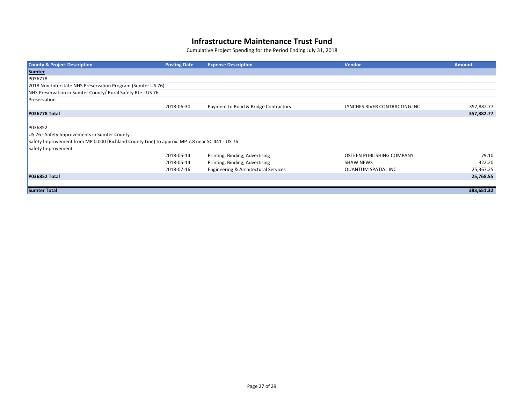| <b>County &amp; Project Description</b>                                                       | <b>Posting Date</b> | <b>Expense Description</b>           | <b>Vendor</b>                 | <b>Amount</b> |
|-----------------------------------------------------------------------------------------------|---------------------|--------------------------------------|-------------------------------|---------------|
| Sumter                                                                                        |                     |                                      |                               |               |
| P036778                                                                                       |                     |                                      |                               |               |
| 2018 Non-Interstate NHS Preservation Program (Sumter US 76)                                   |                     |                                      |                               |               |
| NHS Preservation in Sumter County/ Rural Safety Rte - US 76                                   |                     |                                      |                               |               |
| Preservation                                                                                  |                     |                                      |                               |               |
|                                                                                               | 2018-06-30          | Payment to Road & Bridge Contractors | LYNCHES RIVER CONTRACTING INC | 357,882.77    |
| <b>P036778 Total</b>                                                                          |                     |                                      |                               | 357,882.77    |
|                                                                                               |                     |                                      |                               |               |
| P036852                                                                                       |                     |                                      |                               |               |
| US 76 - Safety Improvements in Sumter County                                                  |                     |                                      |                               |               |
| Safety Improvement from MP 0.000 (Richland County Line) to approx. MP 7.8 near SC 441 - US 76 |                     |                                      |                               |               |
| Safety Improvement                                                                            |                     |                                      |                               |               |
|                                                                                               | 2018-05-14          | Printing, Binding, Advertising       | OSTEEN PUBLISHING COMPANY     | 79.10         |
|                                                                                               | 2018-05-14          | Printing, Binding, Advertising       | <b>SHAW NEWS</b>              | 322.20        |
|                                                                                               | 2018-07-16          | Engineering & Architectural Services | <b>QUANTUM SPATIAL INC</b>    | 25,367.25     |
| <b>P036852 Total</b>                                                                          |                     |                                      |                               | 25,768.55     |
|                                                                                               |                     |                                      |                               |               |
| <b>Sumter Total</b>                                                                           |                     |                                      |                               | 383,651.32    |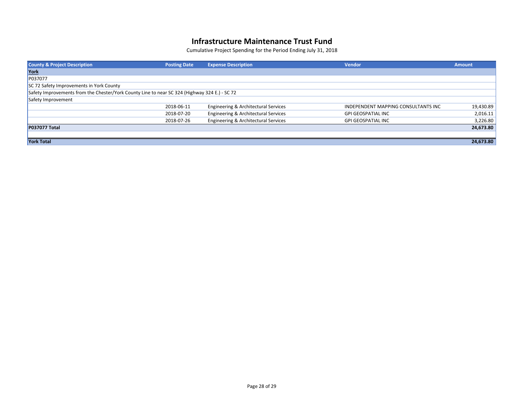| <b>County &amp; Project Description</b>                                                       | <b>Posting Date</b> | <b>Expense Description</b>           | <b>Vendor</b>                       | <b>Amount</b> |
|-----------------------------------------------------------------------------------------------|---------------------|--------------------------------------|-------------------------------------|---------------|
| York                                                                                          |                     |                                      |                                     |               |
| P037077                                                                                       |                     |                                      |                                     |               |
| SC 72 Safety Improvements in York County                                                      |                     |                                      |                                     |               |
| Safety Improvements from the Chester/York County Line to near SC 324 (Highway 324 E.) - SC 72 |                     |                                      |                                     |               |
| Safety Improvement                                                                            |                     |                                      |                                     |               |
|                                                                                               | 2018-06-11          | Engineering & Architectural Services | INDEPENDENT MAPPING CONSULTANTS INC | 19,430.89     |
|                                                                                               | 2018-07-20          | Engineering & Architectural Services | <b>GPI GEOSPATIAL INC</b>           | 2,016.11      |
|                                                                                               | 2018-07-26          | Engineering & Architectural Services | <b>GPI GEOSPATIAL INC</b>           | 3,226.80      |
| <b>P037077 Total</b>                                                                          |                     |                                      |                                     | 24,673.80     |
|                                                                                               |                     |                                      |                                     |               |
| <b>York Total</b>                                                                             |                     |                                      |                                     | 24,673.80     |